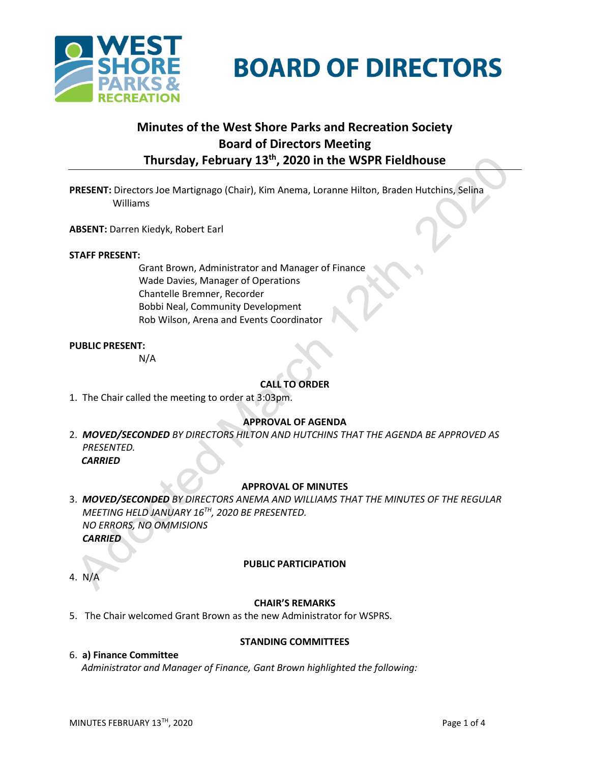

**BOARD OF DIRECTORS** 

# **Minutes of the West Shore Parks and Recreation Society Board of Directors Meeting Thursday, February 13 th , 2020 in the WSPR Fieldhouse**

**PRESENT:** Directors Joe Martignago (Chair), Kim Anema, Loranne Hilton, Braden Hutchins, Selina Williams

**ABSENT:** Darren Kiedyk, Robert Earl

#### **STAFF PRESENT:**

Grant Brown, Administrator and Manager of Finance Wade Davies, Manager of Operations Chantelle Bremner, Recorder Bobbi Neal, Community Development Rob Wilson, Arena and Events Coordinator

#### **PUBLIC PRESENT:**

N/A

## **CALL TO ORDER**

1. The Chair called the meeting to order at 3:03pm.

#### **APPROVAL OF AGENDA**

2. *MOVED/SECONDED BY DIRECTORS HILTON AND HUTCHINS THAT THE AGENDA BE APPROVED AS PRESENTED.*

 *CARRIED*

#### **APPROVAL OF MINUTES**

3. *MOVED/SECONDED BY DIRECTORS ANEMA AND WILLIAMS THAT THE MINUTES OF THE REGULAR MEETING HELD JANUARY 16TH , 2020 BE PRESENTED. NO ERRORS, NO OMMISIONS CARRIED*

4. N/A

#### **PUBLIC PARTICIPATION**

#### **CHAIR'S REMARKS**

5. The Chair welcomed Grant Brown as the new Administrator for WSPRS.

#### 6. **a) Finance Committee**

## **STANDING COMMITTEES**

*Administrator and Manager of Finance, Gant Brown highlighted the following:*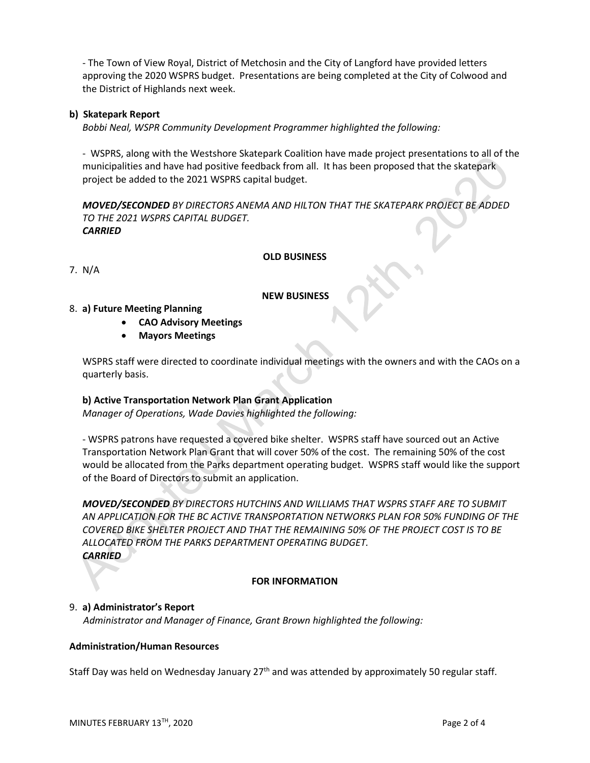- The Town of View Royal, District of Metchosin and the City of Langford have provided letters approving the 2020 WSPRS budget. Presentations are being completed at the City of Colwood and the District of Highlands next week.

## **b) Skatepark Report**

*Bobbi Neal, WSPR Community Development Programmer highlighted the following:*

- WSPRS, along with the Westshore Skatepark Coalition have made project presentations to all of the municipalities and have had positive feedback from all. It has been proposed that the skatepark project be added to the 2021 WSPRS capital budget.

*MOVED/SECONDED BY DIRECTORS ANEMA AND HILTON THAT THE SKATEPARK PROJECT BE ADDED TO THE 2021 WSPRS CAPITAL BUDGET. CARRIED*

## **OLD BUSINESS**

7. N/A

## **NEW BUSINESS**

## 8. **a) Future Meeting Planning**

- **CAO Advisory Meetings**
- **Mayors Meetings**

WSPRS staff were directed to coordinate individual meetings with the owners and with the CAOs on a quarterly basis.

## **b) Active Transportation Network Plan Grant Application**

*Manager of Operations, Wade Davies highlighted the following:*

- WSPRS patrons have requested a covered bike shelter. WSPRS staff have sourced out an Active Transportation Network Plan Grant that will cover 50% of the cost. The remaining 50% of the cost would be allocated from the Parks department operating budget. WSPRS staff would like the support of the Board of Directors to submit an application.

*MOVED/SECONDED BY DIRECTORS HUTCHINS AND WILLIAMS THAT WSPRS STAFF ARE TO SUBMIT AN APPLICATION FOR THE BC ACTIVE TRANSPORTATION NETWORKS PLAN FOR 50% FUNDING OF THE COVERED BIKE SHELTER PROJECT AND THAT THE REMAINING 50% OF THE PROJECT COST IS TO BE ALLOCATED FROM THE PARKS DEPARTMENT OPERATING BUDGET. CARRIED*

## **FOR INFORMATION**

## 9. **a) Administrator's Report**

*Administrator and Manager of Finance, Grant Brown highlighted the following:*

## **Administration/Human Resources**

Staff Day was held on Wednesday January  $27<sup>th</sup>$  and was attended by approximately 50 regular staff.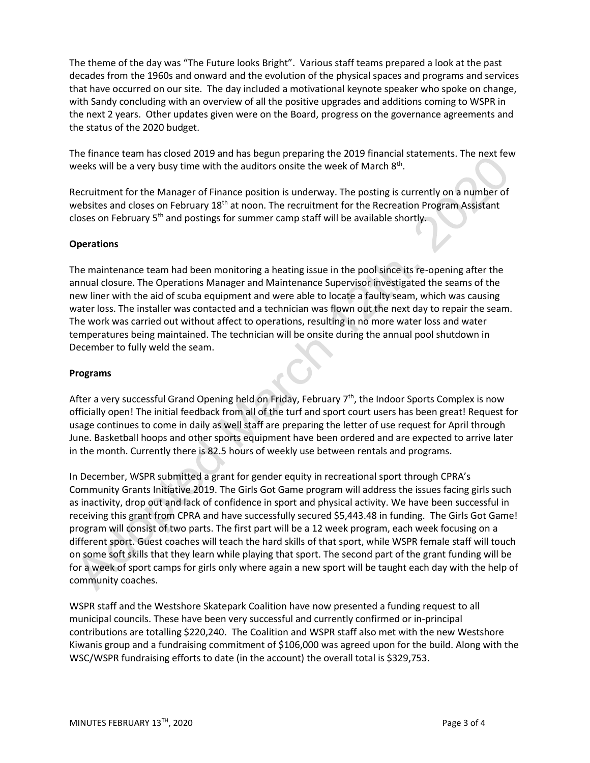The theme of the day was "The Future looks Bright". Various staff teams prepared a look at the past decades from the 1960s and onward and the evolution of the physical spaces and programs and services that have occurred on our site. The day included a motivational keynote speaker who spoke on change, with Sandy concluding with an overview of all the positive upgrades and additions coming to WSPR in the next 2 years. Other updates given were on the Board, progress on the governance agreements and the status of the 2020 budget.

The finance team has closed 2019 and has begun preparing the 2019 financial statements. The next few weeks will be a very busy time with the auditors onsite the week of March  $8^{\text{th}}$ .

Recruitment for the Manager of Finance position is underway. The posting is currently on a number of websites and closes on February 18<sup>th</sup> at noon. The recruitment for the Recreation Program Assistant closes on February 5<sup>th</sup> and postings for summer camp staff will be available shortly.

## **Operations**

The maintenance team had been monitoring a heating issue in the pool since its re-opening after the annual closure. The Operations Manager and Maintenance Supervisor investigated the seams of the new liner with the aid of scuba equipment and were able to locate a faulty seam, which was causing water loss. The installer was contacted and a technician was flown out the next day to repair the seam. The work was carried out without affect to operations, resulting in no more water loss and water temperatures being maintained. The technician will be onsite during the annual pool shutdown in December to fully weld the seam.

## **Programs**

After a very successful Grand Opening held on Friday, February 7<sup>th</sup>, the Indoor Sports Complex is now officially open! The initial feedback from all of the turf and sport court users has been great! Request for usage continues to come in daily as well staff are preparing the letter of use request for April through June. Basketball hoops and other sports equipment have been ordered and are expected to arrive later in the month. Currently there is 82.5 hours of weekly use between rentals and programs.

In December, WSPR submitted a grant for gender equity in recreational sport through CPRA's Community Grants Initiative 2019. The Girls Got Game program will address the issues facing girls such as inactivity, drop out and lack of confidence in sport and physical activity. We have been successful in receiving this grant from CPRA and have successfully secured \$5,443.48 in funding. The Girls Got Game! program will consist of two parts. The first part will be a 12 week program, each week focusing on a different sport. Guest coaches will teach the hard skills of that sport, while WSPR female staff will touch on some soft skills that they learn while playing that sport. The second part of the grant funding will be for a week of sport camps for girls only where again a new sport will be taught each day with the help of community coaches.

WSPR staff and the Westshore Skatepark Coalition have now presented a funding request to all municipal councils. These have been very successful and currently confirmed or in-principal contributions are totalling \$220,240. The Coalition and WSPR staff also met with the new Westshore Kiwanis group and a fundraising commitment of \$106,000 was agreed upon for the build. Along with the WSC/WSPR fundraising efforts to date (in the account) the overall total is \$329,753.